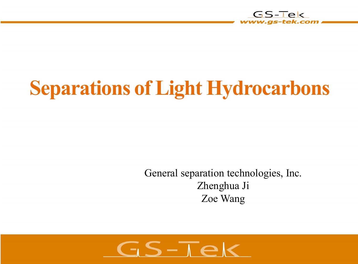

# **Separations of Light Hydrocarbons**

General separation technologies, Inc. Zhenghua Ji Zoe Wang

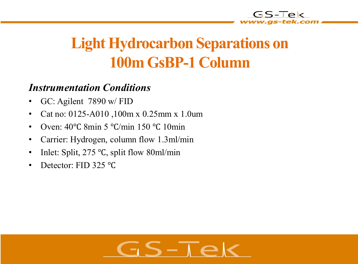

### **Light Hydrocarbon Separations on 100m GsBP-1 Column**

#### *Instrumentation Conditions*

- GC: Agilent 7890 w/ FID
- Cat no: 0125-A010 ,100m x 0.25mm x 1.0um
- Oven: 40 °C 8min 5 °C/min 150 °C 10min
- Carrier: Hydrogen, column flow 1.3ml/min
- Inlet: Split, 275 ℃, split flow 80ml/min
- Detector: FID 325 ℃

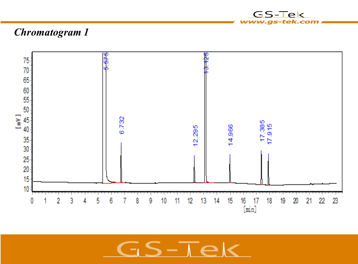

#### *Chromatogram 1*



 $S-T$  $\epsilon$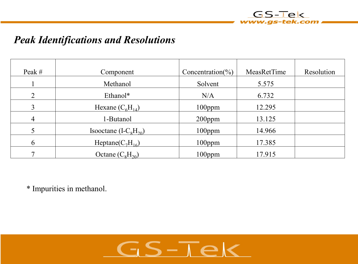

#### *Peak Identifications and Resolutions*

| Peak #         | Component              | Concentration( $\%$ ) | MeasRetTime | Resolution |
|----------------|------------------------|-----------------------|-------------|------------|
|                | Methanol               | Solvent               | 5.575       |            |
| $\overline{2}$ | Ethanol*               | N/A                   | 6.732       |            |
| 3              | Hexane $(C_6H_{14})$   | $100$ ppm             | 12.295      |            |
| 4              | 1-Butanol              | $200$ ppm             | 13.125      |            |
|                | Isooctane $(I-C8H20)$  | $100$ ppm             | 14.966      |            |
| 6              | Heptane( $C_7H_{16}$ ) | $100$ ppm             | 17.385      |            |
|                | Octane $(C_8H_{20})$   | $100$ ppm             | 17.915      |            |

\* Impurities in methanol.

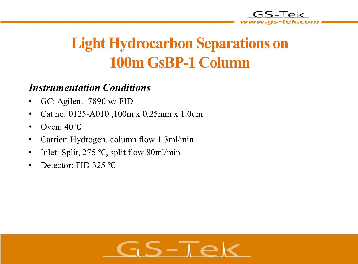

### **Light Hydrocarbon Separations on 100m GsBP-1 Column**

#### *Instrumentation Conditions*

- GC: Agilent 7890 w/ FID
- Cat no: 0125-A010 ,100m x 0.25mm x 1.0um
- Oven: 40℃
- Carrier: Hydrogen, column flow 1.3ml/min
- Inlet: Split, 275 ℃, split flow 80ml/min
- Detector: FID 325 ℃

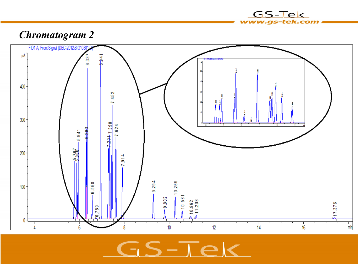

 $-\overline{1}$ 

 $12$ 

10

### *Chromatogram 2*

 $6 - 941$ 

 $137$ 

6

ġ

FID1 A, Front Signal (DEC-2012\SIG108

pA



 $14$ 

117.376

min

16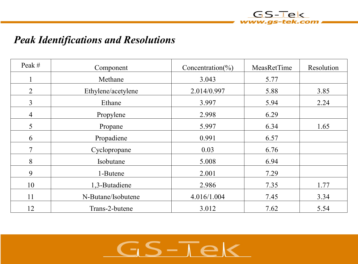

#### *Peak Identifications and Resolutions*

| Peak #         | Component          | Concentration( $\%$ ) | MeasRetTime | Resolution |
|----------------|--------------------|-----------------------|-------------|------------|
|                | Methane            | 3.043                 | 5.77        |            |
| $\overline{2}$ | Ethylene/acetylene | 2.014/0.997           | 5.88        | 3.85       |
| $\overline{3}$ | Ethane             | 3.997                 | 5.94        | 2.24       |
| $\overline{4}$ | Propylene          | 2.998                 | 6.29        |            |
| 5              | Propane            | 5.997                 | 6.34        | 1.65       |
| 6              | Propadiene         | 0.991                 | 6.57        |            |
| $\overline{7}$ | Cyclopropane       | 0.03                  | 6.76        |            |
| 8              | Isobutane          | 5.008                 | 6.94        |            |
| 9              | 1-Butene           | 2.001                 | 7.29        |            |
| 10             | 1,3-Butadiene      | 2.986                 | 7.35        | 1.77       |
| 11             | N-Butane/Isobutene | 4.016/1.004           | 7.45        | 3.34       |
| 12             | Trans-2-butene     | 3.012                 | 7.62        | 5.54       |

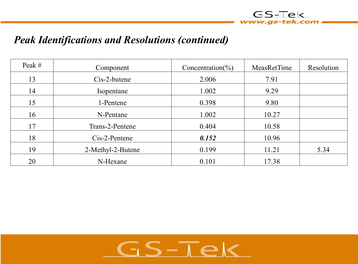

#### *Peak Identifications and Resolutions (continued)*

| Peak $#$ | Component         | Concentration( $\%$ ) | MeasRetTime | Resolution |
|----------|-------------------|-----------------------|-------------|------------|
| 13       | Cis-2-butene      | 2.006                 | 7.91        |            |
| 14       | Isopentane        | 1.002                 | 9.29        |            |
| 15       | 1-Pentene         | 0.398                 | 9.80        |            |
| 16       | N-Pentane         | 1.002                 | 10.27       |            |
| 17       | Trans-2-Pentene   | 0.404                 | 10.58       |            |
| 18       | $Cis-2-Pentene$   | 0.152                 | 10.96       |            |
| 19       | 2-Methyl-2-Butene | 0.199                 | 11.21       | 5.34       |
| 20       | N-Hexane          | 0.101                 | 17.38       |            |